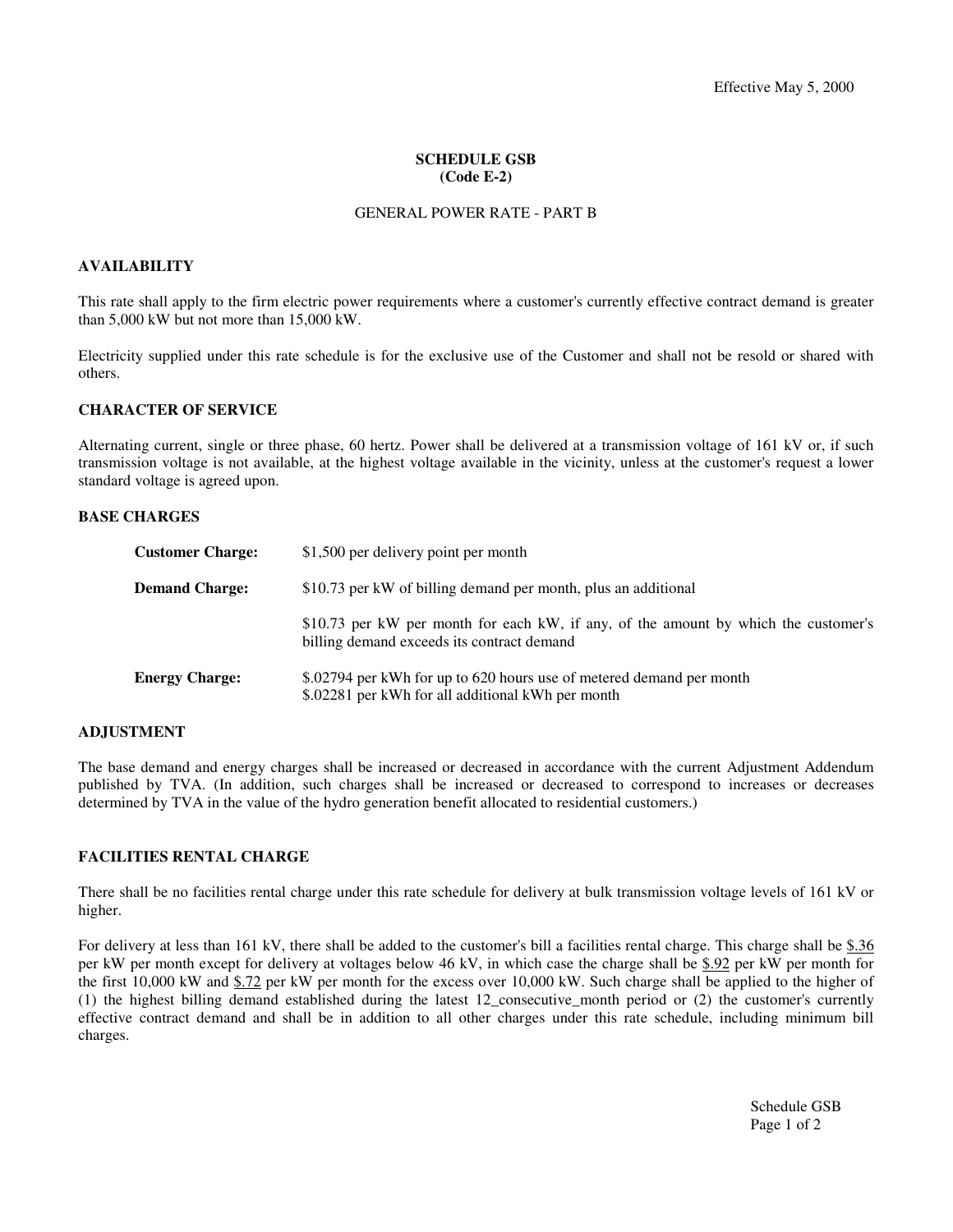### **SCHEDULE GSB (Code E-2)**

#### GENERAL POWER RATE - PART B

#### **AVAILABILITY**

This rate shall apply to the firm electric power requirements where a customer's currently effective contract demand is greater than 5,000 kW but not more than 15,000 kW.

Electricity supplied under this rate schedule is for the exclusive use of the Customer and shall not be resold or shared with others.

# **CHARACTER OF SERVICE**

Alternating current, single or three phase, 60 hertz. Power shall be delivered at a transmission voltage of 161 kV or, if such transmission voltage is not available, at the highest voltage available in the vicinity, unless at the customer's request a lower standard voltage is agreed upon.

#### **BASE CHARGES**

| <b>Customer Charge:</b> | \$1,500 per delivery point per month                                                                                              |
|-------------------------|-----------------------------------------------------------------------------------------------------------------------------------|
| <b>Demand Charge:</b>   | \$10.73 per kW of billing demand per month, plus an additional                                                                    |
|                         | \$10.73 per kW per month for each kW, if any, of the amount by which the customer's<br>billing demand exceeds its contract demand |
| <b>Energy Charge:</b>   | \$.02794 per kWh for up to 620 hours use of metered demand per month<br>\$.02281 per kWh for all additional kWh per month         |

### **ADJUSTMENT**

The base demand and energy charges shall be increased or decreased in accordance with the current Adjustment Addendum published by TVA. (In addition, such charges shall be increased or decreased to correspond to increases or decreases determined by TVA in the value of the hydro generation benefit allocated to residential customers.)

### **FACILITIES RENTAL CHARGE**

There shall be no facilities rental charge under this rate schedule for delivery at bulk transmission voltage levels of 161 kV or higher.

For delivery at less than 161 kV, there shall be added to the customer's bill a facilities rental charge. This charge shall be \$.36 per kW per month except for delivery at voltages below 46 kV, in which case the charge shall be \$.92 per kW per month for the first 10,000 kW and \$.72 per kW per month for the excess over 10,000 kW. Such charge shall be applied to the higher of (1) the highest billing demand established during the latest 12\_consecutive\_month period or (2) the customer's currently effective contract demand and shall be in addition to all other charges under this rate schedule, including minimum bill charges.

> Schedule GSB Page 1 of 2